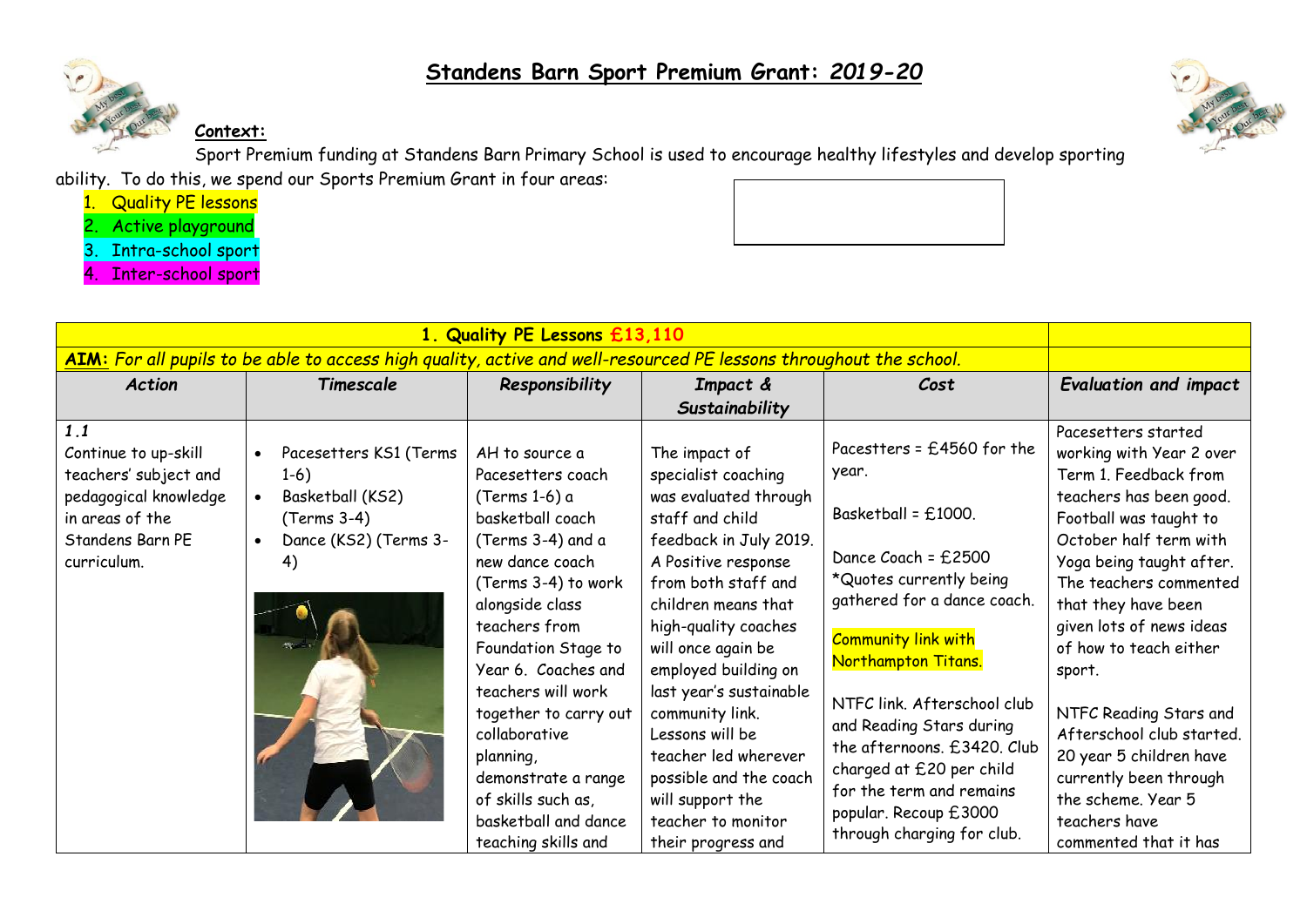



**Context:**

Sport Premium funding at Standens Barn Primary School is used to encourage healthy lifestyles and develop sporting

ability. To do this, we spend our Sports Premium Grant in four areas:

- 1. Quality PE lessons
- 2. Active playground
- 3. Intra-school sport
- 4. Inter-school sport

|                                                                                                                                     |                                                                                                                                           | 1. Quality PE Lessons £13,110                                                                                                                                                                                                                                                                                                                                                                      |                                                                                                                                                                                                                                                                                                                                                                                                                                                            |                                                                                                                                                                                                                                                                                                                                                                                                                  |                                                                                                                                                                                                                                                                                                                                                                                                                                                                                  |
|-------------------------------------------------------------------------------------------------------------------------------------|-------------------------------------------------------------------------------------------------------------------------------------------|----------------------------------------------------------------------------------------------------------------------------------------------------------------------------------------------------------------------------------------------------------------------------------------------------------------------------------------------------------------------------------------------------|------------------------------------------------------------------------------------------------------------------------------------------------------------------------------------------------------------------------------------------------------------------------------------------------------------------------------------------------------------------------------------------------------------------------------------------------------------|------------------------------------------------------------------------------------------------------------------------------------------------------------------------------------------------------------------------------------------------------------------------------------------------------------------------------------------------------------------------------------------------------------------|----------------------------------------------------------------------------------------------------------------------------------------------------------------------------------------------------------------------------------------------------------------------------------------------------------------------------------------------------------------------------------------------------------------------------------------------------------------------------------|
| AIM: For all pupils to be able to access high quality, active and well-resourced PE lessons throughout the school.                  |                                                                                                                                           |                                                                                                                                                                                                                                                                                                                                                                                                    |                                                                                                                                                                                                                                                                                                                                                                                                                                                            |                                                                                                                                                                                                                                                                                                                                                                                                                  |                                                                                                                                                                                                                                                                                                                                                                                                                                                                                  |
| <b>Action</b>                                                                                                                       | Timescale                                                                                                                                 | Responsibility                                                                                                                                                                                                                                                                                                                                                                                     | Impact &                                                                                                                                                                                                                                                                                                                                                                                                                                                   | Cost                                                                                                                                                                                                                                                                                                                                                                                                             | <b>Evaluation and impact</b>                                                                                                                                                                                                                                                                                                                                                                                                                                                     |
| 1.1<br>Continue to up-skill<br>teachers' subject and<br>pedagogical knowledge<br>in areas of the<br>Standens Barn PE<br>curriculum. | Pacesetters KS1 (Terms<br>$\bullet$<br>$1-6)$<br>Basketball (KS2)<br>$\bullet$<br>(Terms 3-4)<br>Dance (KS2) (Terms 3-<br>$\bullet$<br>4) | AH to source a<br>Pacesetters coach<br>(Terms 1-6) a<br>basketball coach<br>(Terms 3-4) and a<br>new dance coach<br>(Terms 3-4) to work<br>alongside class<br>teachers from<br>Foundation Stage to<br>Year 6. Coaches and<br>teachers will work<br>together to carry out<br>collaborative<br>planning,<br>demonstrate a range<br>of skills such as,<br>basketball and dance<br>teaching skills and | Sustainability<br>The impact of<br>specialist coaching<br>was evaluated through<br>staff and child<br>feedback in July 2019.<br>A Positive response<br>from both staff and<br>children means that<br>high-quality coaches<br>will once again be<br>employed building on<br>last year's sustainable<br>community link.<br>Lessons will be<br>teacher led wherever<br>possible and the coach<br>will support the<br>teacher to monitor<br>their progress and | Pacestters = $£4560$ for the<br>year.<br>Basketball = $£1000$ .<br>Dance Coach = $£2500$<br>*Quotes currently being<br>gathered for a dance coach.<br><b>Community link with</b><br>Northampton Titans.<br>NTFC link. Afterschool club<br>and Reading Stars during<br>the afternoons. £3420. Club<br>charged at £20 per child<br>for the term and remains<br>popular. Recoup £3000<br>through charging for club. | Pacesetters started<br>working with Year 2 over<br>Term 1. Feedback from<br>teachers has been good.<br>Football was taught to<br>October half term with<br>Yoga being taught after.<br>The teachers commented<br>that they have been<br>given lots of news ideas<br>of how to teach either<br>sport.<br>NTFC Reading Stars and<br>Afterschool club started.<br>20 year 5 children have<br>currently been through<br>the scheme. Year 5<br>teachers have<br>commented that it has |

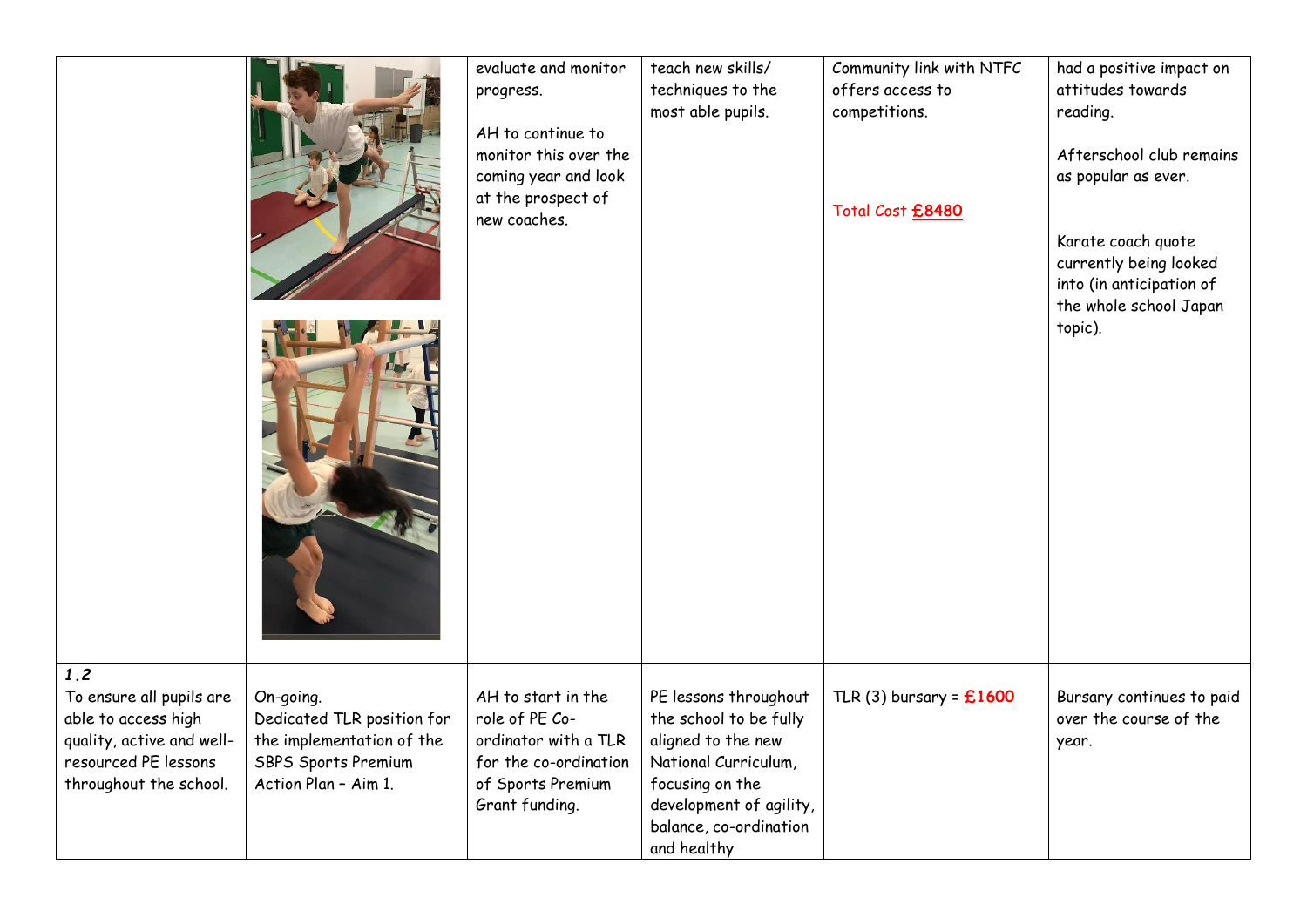|                                                                                                                                       |                                                                                                                            | evaluate and monitor<br>progress.<br>AH to continue to<br>monitor this over the<br>coming year and look<br>at the prospect of<br>new coaches. | teach new skills/<br>techniques to the<br>most able pupils.                                                                                                                          | Community link with NTFC<br>offers access to<br>competitions.<br>Total Cost £8480 | had a positive impact on<br>attitudes towards<br>reading.<br>Afterschool club remains<br>as popular as ever.<br>Karate coach quote<br>currently being looked<br>into (in anticipation of<br>the whole school Japan<br>topic). |
|---------------------------------------------------------------------------------------------------------------------------------------|----------------------------------------------------------------------------------------------------------------------------|-----------------------------------------------------------------------------------------------------------------------------------------------|--------------------------------------------------------------------------------------------------------------------------------------------------------------------------------------|-----------------------------------------------------------------------------------|-------------------------------------------------------------------------------------------------------------------------------------------------------------------------------------------------------------------------------|
| 1.2<br>To ensure all pupils are<br>able to access high<br>quality, active and well-<br>resourced PE lessons<br>throughout the school. | On-going.<br>Dedicated TLR position for<br>the implementation of the<br><b>SBPS Sports Premium</b><br>Action Plan - Aim 1. | AH to start in the<br>role of PE Co-<br>ordinator with a TLR<br>for the co-ordination<br>of Sports Premium<br>Grant funding.                  | PE lessons throughout<br>the school to be fully<br>aligned to the new<br>National Curriculum,<br>focusing on the<br>development of agility,<br>balance, co-ordination<br>and healthy | TLR $(3)$ bursary = $£1600$                                                       | Bursary continues to paid<br>over the course of the<br>year.                                                                                                                                                                  |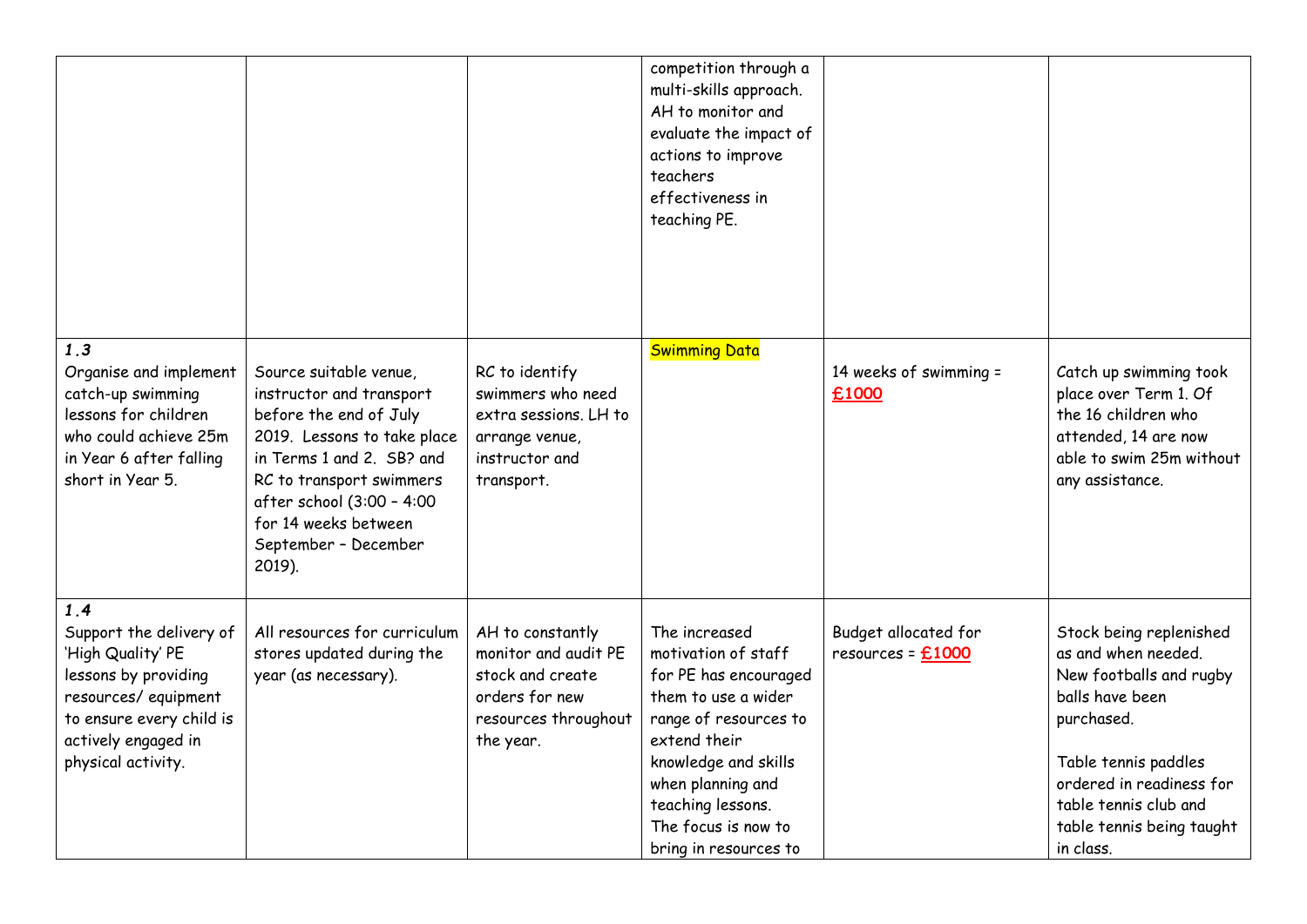|                                                                                                                                                                             |                                                                                                                                                                                                                                                             |                                                                                                                     | competition through a<br>multi-skills approach.<br>AH to monitor and<br>evaluate the impact of<br>actions to improve<br>teachers<br>effectiveness in<br>teaching PE.                                                                            |                                             |                                                                                                                                                                                                                                   |
|-----------------------------------------------------------------------------------------------------------------------------------------------------------------------------|-------------------------------------------------------------------------------------------------------------------------------------------------------------------------------------------------------------------------------------------------------------|---------------------------------------------------------------------------------------------------------------------|-------------------------------------------------------------------------------------------------------------------------------------------------------------------------------------------------------------------------------------------------|---------------------------------------------|-----------------------------------------------------------------------------------------------------------------------------------------------------------------------------------------------------------------------------------|
| 1.3<br>Organise and implement<br>catch-up swimming<br>lessons for children<br>who could achieve 25m<br>in Year 6 after falling<br>short in Year 5.                          | Source suitable venue,<br>instructor and transport<br>before the end of July<br>2019. Lessons to take place<br>in Terms 1 and 2. SB? and<br>RC to transport swimmers<br>after school (3:00 - 4:00<br>for 14 weeks between<br>September - December<br>2019). | RC to identify<br>swimmers who need<br>extra sessions. LH to<br>arrange venue,<br>instructor and<br>transport.      | <b>Swimming Data</b>                                                                                                                                                                                                                            | 14 weeks of swimming =<br>£1000             | Catch up swimming took<br>place over Term 1. Of<br>the 16 children who<br>attended, 14 are now<br>able to swim 25m without<br>any assistance.                                                                                     |
| 1.4<br>Support the delivery of<br>'High Quality' PE<br>lessons by providing<br>resources/equipment<br>to ensure every child is<br>actively engaged in<br>physical activity. | All resources for curriculum<br>stores updated during the<br>year (as necessary).                                                                                                                                                                           | AH to constantly<br>monitor and audit PE<br>stock and create<br>orders for new<br>resources throughout<br>the year. | The increased<br>motivation of staff<br>for PE has encouraged<br>them to use a wider<br>range of resources to<br>extend their<br>knowledge and skills<br>when planning and<br>teaching lessons.<br>The focus is now to<br>bring in resources to | Budget allocated for<br>$resources = £1000$ | Stock being replenished<br>as and when needed.<br>New footballs and rugby<br>balls have been<br>purchased.<br>Table tennis paddles<br>ordered in readiness for<br>table tennis club and<br>table tennis being taught<br>in class. |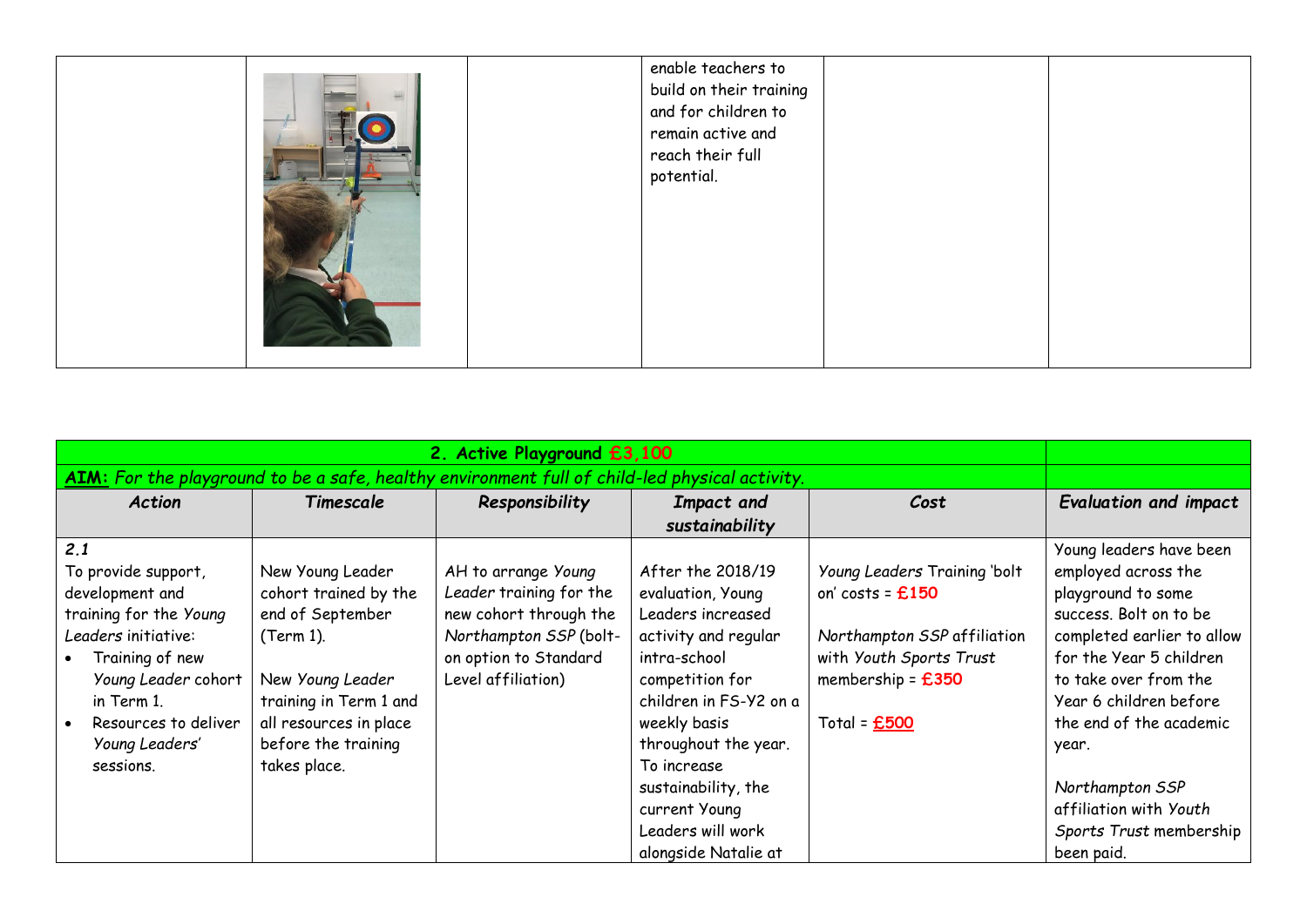|  |  | enable teachers to<br>build on their training<br>and for children to<br>remain active and<br>reach their full<br>potential. |  |
|--|--|-----------------------------------------------------------------------------------------------------------------------------|--|
|--|--|-----------------------------------------------------------------------------------------------------------------------------|--|

| AIM: For the playground to be a safe, healthy environment full of child-led physical activity.                                                                                                                |                                                                                                                                                                                           |                                                                                                                                                   |                                                                                                                                                                                                                                |                                                                                                                                                       |                                                                                                                                                                                                                                                                   |
|---------------------------------------------------------------------------------------------------------------------------------------------------------------------------------------------------------------|-------------------------------------------------------------------------------------------------------------------------------------------------------------------------------------------|---------------------------------------------------------------------------------------------------------------------------------------------------|--------------------------------------------------------------------------------------------------------------------------------------------------------------------------------------------------------------------------------|-------------------------------------------------------------------------------------------------------------------------------------------------------|-------------------------------------------------------------------------------------------------------------------------------------------------------------------------------------------------------------------------------------------------------------------|
| Action                                                                                                                                                                                                        | Timescale                                                                                                                                                                                 | Responsibility                                                                                                                                    | Impact and<br>sustainability                                                                                                                                                                                                   | Cost                                                                                                                                                  | <b>Evaluation and impact</b>                                                                                                                                                                                                                                      |
| 2.1<br>To provide support,<br>development and<br>training for the Young<br>Leaders initiative:<br>Training of new<br>Young Leader cohort<br>in Term 1.<br>Resources to deliver<br>Young Leaders'<br>sessions. | New Young Leader<br>cohort trained by the<br>end of September<br>(Term 1).<br>New Young Leader<br>training in Term 1 and<br>all resources in place<br>before the training<br>takes place. | AH to arrange Young<br>Leader training for the<br>new cohort through the<br>Northampton SSP (bolt-<br>on option to Standard<br>Level affiliation) | After the 2018/19<br>evaluation, Young<br>Leaders increased<br>activity and regular<br>intra-school<br>competition for<br>children in FS-Y2 on a<br>weekly basis<br>throughout the year.<br>To increase<br>sustainability, the | Young Leaders Training 'bolt<br>on' costs = $£150$<br>Northampton SSP affiliation<br>with Youth Sports Trust<br>membership = $£350$<br>Total = $£500$ | Young leaders have been<br>employed across the<br>playground to some<br>success. Bolt on to be<br>completed earlier to allow<br>for the Year 5 children<br>to take over from the<br>Year 6 children before<br>the end of the academic<br>year.<br>Northampton SSP |
|                                                                                                                                                                                                               |                                                                                                                                                                                           |                                                                                                                                                   | current Young<br>Leaders will work<br>alongside Natalie at                                                                                                                                                                     |                                                                                                                                                       | affiliation with Youth<br>Sports Trust membership<br>been paid.                                                                                                                                                                                                   |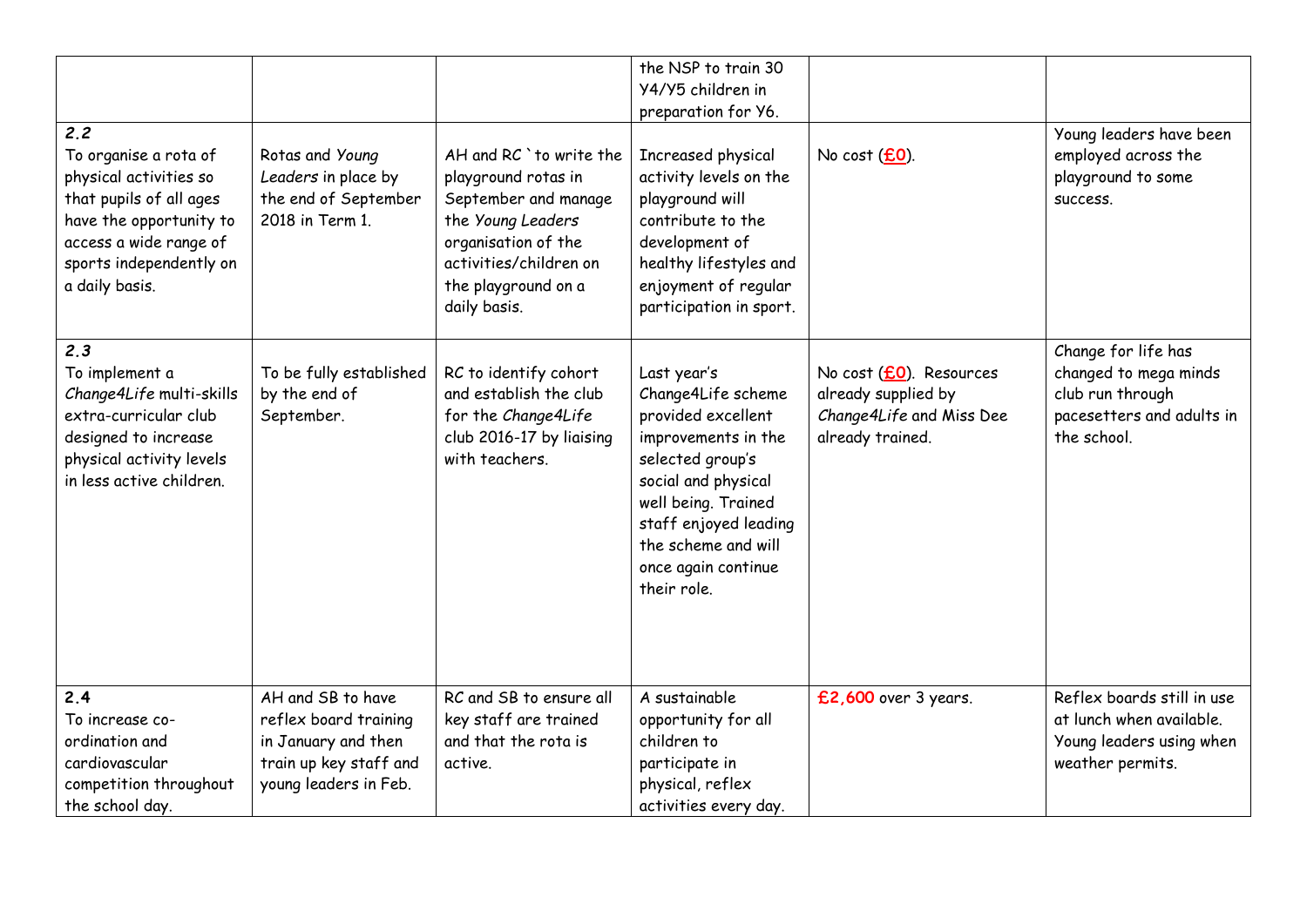| 2.2<br>To organise a rota of<br>physical activities so<br>that pupils of all ages<br>have the opportunity to<br>access a wide range of<br>sports independently on<br>a daily basis. | Rotas and Young<br>Leaders in place by<br>the end of September<br>2018 in Term 1.                                    | AH and RC `to write the<br>playground rotas in<br>September and manage<br>the Young Leaders<br>organisation of the<br>activities/children on<br>the playground on a<br>daily basis. | the NSP to train 30<br>Y4/Y5 children in<br>preparation for Y6.<br>Increased physical<br>activity levels on the<br>playground will<br>contribute to the<br>development of<br>healthy lifestyles and<br>enjoyment of regular<br>participation in sport. | No cost (£0).                                                                                  | Young leaders have been<br>employed across the<br>playground to some<br>SUCCESS.                             |
|-------------------------------------------------------------------------------------------------------------------------------------------------------------------------------------|----------------------------------------------------------------------------------------------------------------------|-------------------------------------------------------------------------------------------------------------------------------------------------------------------------------------|--------------------------------------------------------------------------------------------------------------------------------------------------------------------------------------------------------------------------------------------------------|------------------------------------------------------------------------------------------------|--------------------------------------------------------------------------------------------------------------|
| 2.3<br>To implement a<br>Change4Life multi-skills<br>extra-curricular club<br>designed to increase<br>physical activity levels<br>in less active children.                          | To be fully established<br>by the end of<br>September.                                                               | RC to identify cohort<br>and establish the club<br>for the Change4Life<br>club 2016-17 by liaising<br>with teachers.                                                                | Last year's<br>Change4Life scheme<br>provided excellent<br>improvements in the<br>selected group's<br>social and physical<br>well being. Trained<br>staff enjoyed leading<br>the scheme and will<br>once again continue<br>their role.                 | No cost (£0). Resources<br>already supplied by<br>Change4Life and Miss Dee<br>already trained. | Change for life has<br>changed to mega minds<br>club run through<br>pacesetters and adults in<br>the school. |
| 2.4<br>To increase co-<br>ordination and<br>cardiovascular<br>competition throughout<br>the school day.                                                                             | AH and SB to have<br>reflex board training<br>in January and then<br>train up key staff and<br>young leaders in Feb. | RC and SB to ensure all<br>key staff are trained<br>and that the rota is<br>active.                                                                                                 | A sustainable<br>opportunity for all<br>children to<br>participate in<br>physical, reflex<br>activities every day.                                                                                                                                     | £2,600 over 3 years.                                                                           | Reflex boards still in use<br>at lunch when available.<br>Young leaders using when<br>weather permits.       |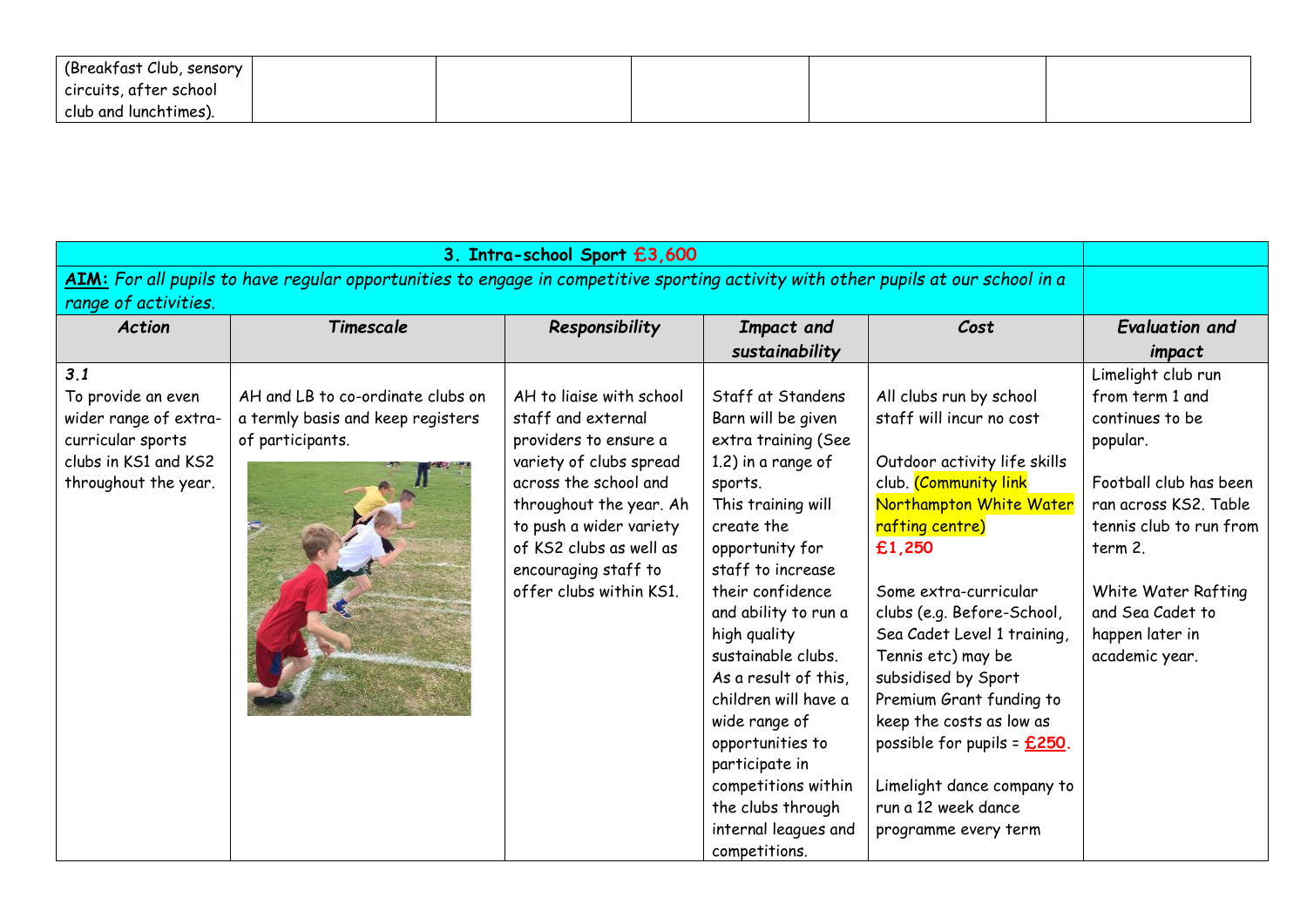| (Breakfast Club, sensory |  |  |  |
|--------------------------|--|--|--|
| circuits, after school   |  |  |  |
| club and lunchtimes).    |  |  |  |

|                                                                                                                                   |                                                                                            | 3. Intra-school Sport £3,600                                                                                                                                                                                                                                    |                                                                                                                                                                                                                                                                                                                                                                                                                                                           |                                                                                                                                                                                                                                                                                                                                                                                                                                                                                |                                                                                                                                                                                                                                               |
|-----------------------------------------------------------------------------------------------------------------------------------|--------------------------------------------------------------------------------------------|-----------------------------------------------------------------------------------------------------------------------------------------------------------------------------------------------------------------------------------------------------------------|-----------------------------------------------------------------------------------------------------------------------------------------------------------------------------------------------------------------------------------------------------------------------------------------------------------------------------------------------------------------------------------------------------------------------------------------------------------|--------------------------------------------------------------------------------------------------------------------------------------------------------------------------------------------------------------------------------------------------------------------------------------------------------------------------------------------------------------------------------------------------------------------------------------------------------------------------------|-----------------------------------------------------------------------------------------------------------------------------------------------------------------------------------------------------------------------------------------------|
| AIM: For all pupils to have regular opportunities to engage in competitive sporting activity with other pupils at our school in a |                                                                                            |                                                                                                                                                                                                                                                                 |                                                                                                                                                                                                                                                                                                                                                                                                                                                           |                                                                                                                                                                                                                                                                                                                                                                                                                                                                                |                                                                                                                                                                                                                                               |
| range of activities.                                                                                                              |                                                                                            |                                                                                                                                                                                                                                                                 |                                                                                                                                                                                                                                                                                                                                                                                                                                                           |                                                                                                                                                                                                                                                                                                                                                                                                                                                                                |                                                                                                                                                                                                                                               |
| <b>Action</b>                                                                                                                     | Timescale                                                                                  | Responsibility                                                                                                                                                                                                                                                  | Impact and<br>sustainability                                                                                                                                                                                                                                                                                                                                                                                                                              | Cost                                                                                                                                                                                                                                                                                                                                                                                                                                                                           | <b>Evaluation and</b><br>impact                                                                                                                                                                                                               |
| 3.1<br>To provide an even<br>wider range of extra-<br>curricular sports<br>clubs in KS1 and KS2<br>throughout the year.           | AH and LB to co-ordinate clubs on<br>a termly basis and keep registers<br>of participants. | AH to ligise with school<br>staff and external<br>providers to ensure a<br>variety of clubs spread<br>across the school and<br>throughout the year. Ah<br>to push a wider variety<br>of KS2 clubs as well as<br>encouraging staff to<br>offer clubs within KS1. | Staff at Standens<br>Barn will be given<br>extra training (See<br>1.2) in a range of<br>sports.<br>This training will<br>create the<br>opportunity for<br>staff to increase<br>their confidence<br>and ability to run a<br>high quality<br>sustainable clubs.<br>As a result of this,<br>children will have a<br>wide range of<br>opportunities to<br>participate in<br>competitions within<br>the clubs through<br>internal leagues and<br>competitions. | All clubs run by school<br>staff will incur no cost<br>Outdoor activity life skills<br>club. (Community link<br>Northampton White Water<br>rafting centre)<br>£1,250<br>Some extra-curricular<br>clubs (e.g. Before-School,<br>Sea Cadet Level 1 training,<br>Tennis etc) may be<br>subsidised by Sport<br>Premium Grant funding to<br>keep the costs as low as<br>possible for pupils = $£250$ .<br>Limelight dance company to<br>run a 12 week dance<br>programme every term | Limelight club run<br>from term 1 and<br>continues to be<br>popular.<br>Football club has been<br>ran across KS2. Table<br>tennis club to run from<br>term 2.<br>White Water Rafting<br>and Sea Cadet to<br>happen later in<br>academic year. |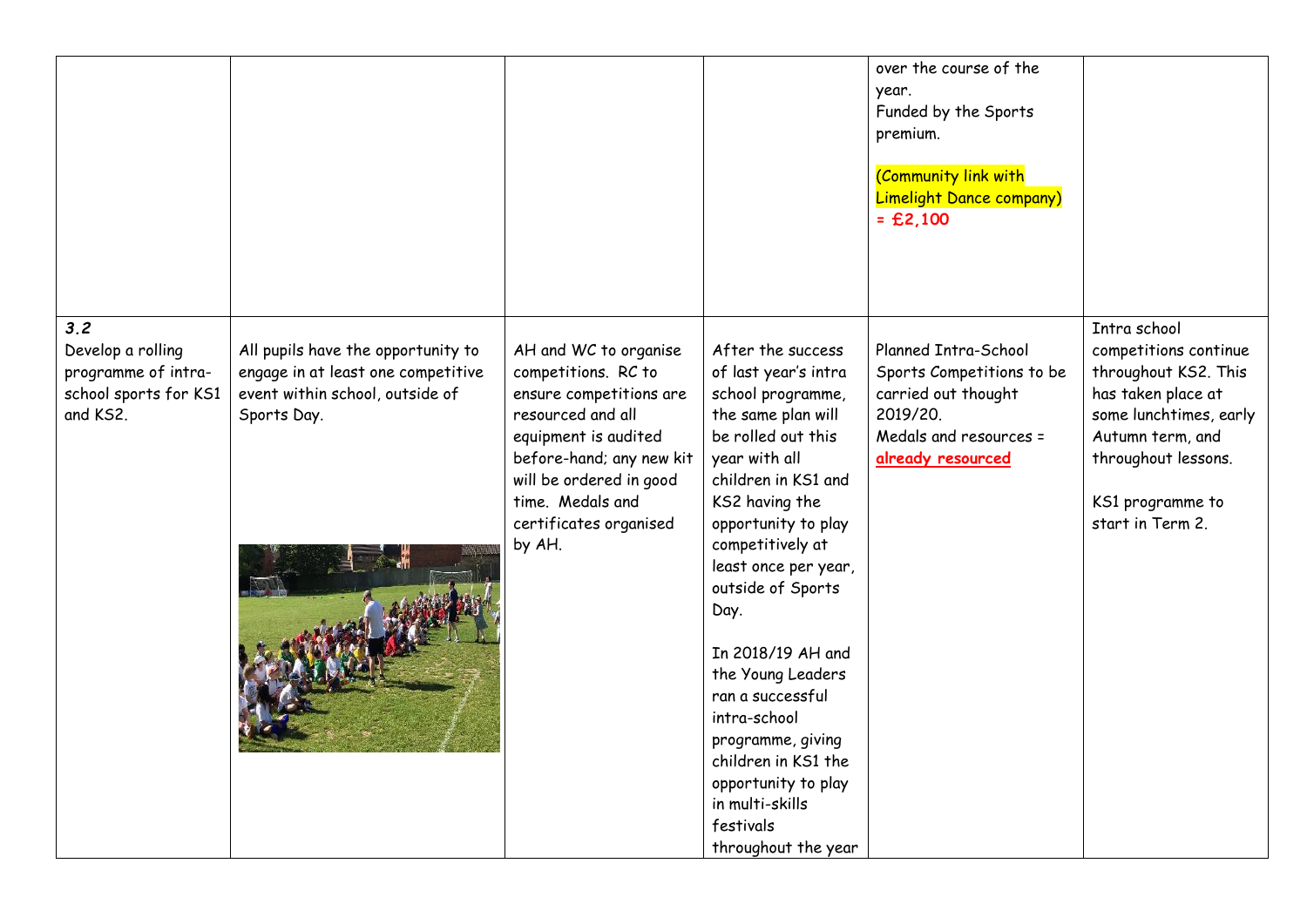|                                                                                      |                                                                                                                            |                                                                                                                                                                                                                                     |                                                                                                                                                                                                                                                                                                                                                                                                                                                                              | over the course of the<br>year.<br>Funded by the Sports<br>premium.<br>(Community link with<br>Limelight Dance company)<br>$=$ £2,100 |                                                                                                                                                                                                  |
|--------------------------------------------------------------------------------------|----------------------------------------------------------------------------------------------------------------------------|-------------------------------------------------------------------------------------------------------------------------------------------------------------------------------------------------------------------------------------|------------------------------------------------------------------------------------------------------------------------------------------------------------------------------------------------------------------------------------------------------------------------------------------------------------------------------------------------------------------------------------------------------------------------------------------------------------------------------|---------------------------------------------------------------------------------------------------------------------------------------|--------------------------------------------------------------------------------------------------------------------------------------------------------------------------------------------------|
| 3.2<br>Develop a rolling<br>programme of intra-<br>school sports for KS1<br>and KS2. | All pupils have the opportunity to<br>engage in at least one competitive<br>event within school, outside of<br>Sports Day. | AH and WC to organise<br>competitions. RC to<br>ensure competitions are<br>resourced and all<br>equipment is audited<br>before-hand; any new kit<br>will be ordered in good<br>time. Medals and<br>certificates organised<br>by AH. | After the success<br>of last year's intra<br>school programme,<br>the same plan will<br>be rolled out this<br>year with all<br>children in KS1 and<br>KS2 having the<br>opportunity to play<br>competitively at<br>least once per year,<br>outside of Sports<br>Day.<br>In 2018/19 AH and<br>the Young Leaders<br>ran a successful<br>intra-school<br>programme, giving<br>children in KS1 the<br>opportunity to play<br>in multi-skills<br>festivals<br>throughout the year | Planned Intra-School<br>Sports Competitions to be<br>carried out thought<br>2019/20.<br>Medals and resources =<br>already resourced   | Intra school<br>competitions continue<br>throughout KS2. This<br>has taken place at<br>some lunchtimes, early<br>Autumn term, and<br>throughout lessons.<br>KS1 programme to<br>start in Term 2. |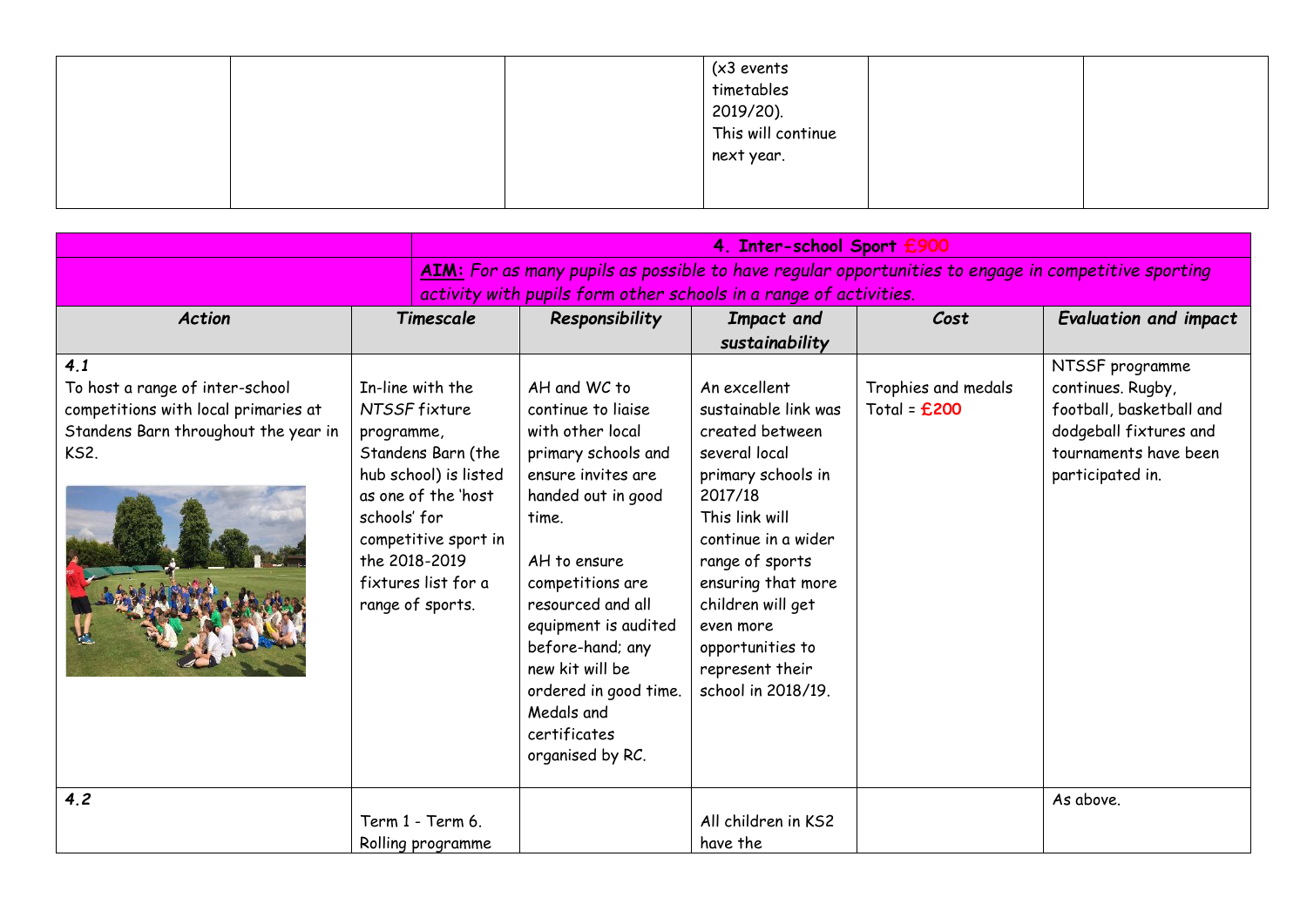|  | (x3 events<br>timetables        |  |
|--|---------------------------------|--|
|  |                                 |  |
|  | 2019/20).<br>This will continue |  |
|  | next year.                      |  |
|  |                                 |  |
|  |                                 |  |

|                                                                                                                                       | 4. Inter-school Sport £900                                                                                                                                                                                                |                                                                                                                                                                                                                                                                                                                                       |                                                                                                                                                                                                                                                                                            |                                       |                                                                                                                                         |
|---------------------------------------------------------------------------------------------------------------------------------------|---------------------------------------------------------------------------------------------------------------------------------------------------------------------------------------------------------------------------|---------------------------------------------------------------------------------------------------------------------------------------------------------------------------------------------------------------------------------------------------------------------------------------------------------------------------------------|--------------------------------------------------------------------------------------------------------------------------------------------------------------------------------------------------------------------------------------------------------------------------------------------|---------------------------------------|-----------------------------------------------------------------------------------------------------------------------------------------|
|                                                                                                                                       |                                                                                                                                                                                                                           | activity with pupils form other schools in a range of activities.                                                                                                                                                                                                                                                                     |                                                                                                                                                                                                                                                                                            |                                       | AIM: For as many pupils as possible to have regular opportunities to engage in competitive sporting                                     |
| <b>Action</b>                                                                                                                         | Timescale                                                                                                                                                                                                                 | Responsibility                                                                                                                                                                                                                                                                                                                        | Impact and<br>sustainability                                                                                                                                                                                                                                                               | Cost                                  | <b>Evaluation and impact</b>                                                                                                            |
| 4.1<br>To host a range of inter-school<br>competitions with local primaries at<br>Standens Barn throughout the year in<br><b>KS2.</b> | In-line with the<br>NTSSF fixture<br>programme,<br>Standens Barn (the<br>hub school) is listed<br>as one of the 'host<br>schools' for<br>competitive sport in<br>the 2018-2019<br>fixtures list for a<br>range of sports. | AH and WC to<br>continue to liaise<br>with other local<br>primary schools and<br>ensure invites are<br>handed out in good<br>time.<br>AH to ensure<br>competitions are<br>resourced and all<br>equipment is audited<br>before-hand; any<br>new kit will be<br>ordered in good time.<br>Medals and<br>certificates<br>organised by RC. | An excellent<br>sustainable link was<br>created between<br>several local<br>primary schools in<br>2017/18<br>This link will<br>continue in a wider<br>range of sports<br>ensuring that more<br>children will get<br>even more<br>opportunities to<br>represent their<br>school in 2018/19. | Trophies and medals<br>Total = $£200$ | NTSSF programme<br>continues. Rugby,<br>football, basketball and<br>dodgeball fixtures and<br>tournaments have been<br>participated in. |
| 4.2                                                                                                                                   | Term 1 - Term 6.<br>Rolling programme                                                                                                                                                                                     |                                                                                                                                                                                                                                                                                                                                       | All children in KS2<br>have the                                                                                                                                                                                                                                                            |                                       | As above.                                                                                                                               |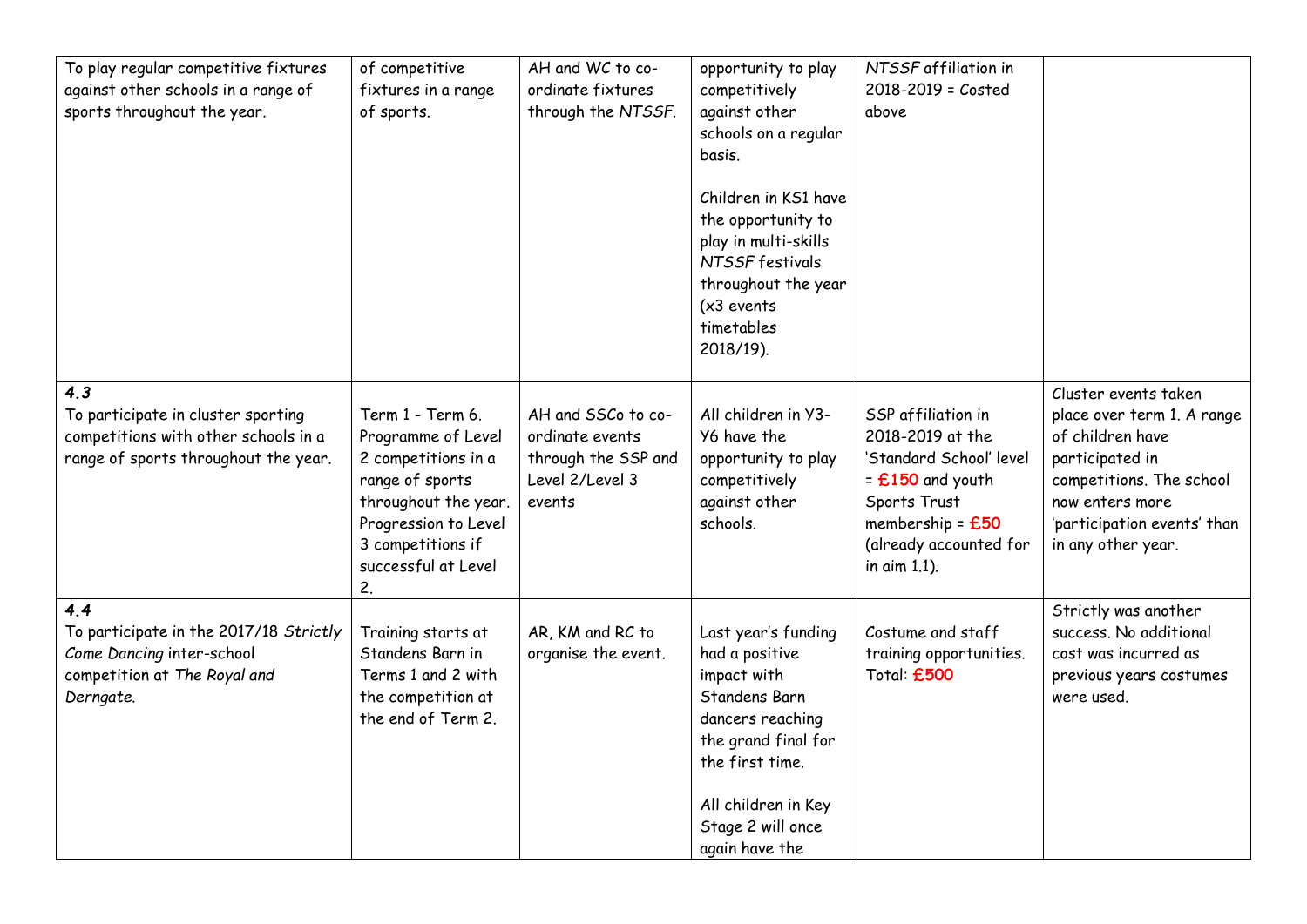| To play regular competitive fixtures<br>against other schools in a range of<br>sports throughout the year.                | of competitive<br>fixtures in a range<br>of sports.                                                                                                                                | AH and WC to co-<br>ordinate fixtures<br>through the NTSSF.                               | opportunity to play<br>competitively<br>against other<br>schools on a regular<br>basis.<br>Children in KS1 have<br>the opportunity to<br>play in multi-skills<br>NTSSF festivals<br>throughout the year<br>$(x3$ events<br>timetables<br>2018/19). | NTSSF affiliation in<br>2018-2019 = Costed<br>above                                                                                                                     |                                                                                                                                                                                               |
|---------------------------------------------------------------------------------------------------------------------------|------------------------------------------------------------------------------------------------------------------------------------------------------------------------------------|-------------------------------------------------------------------------------------------|----------------------------------------------------------------------------------------------------------------------------------------------------------------------------------------------------------------------------------------------------|-------------------------------------------------------------------------------------------------------------------------------------------------------------------------|-----------------------------------------------------------------------------------------------------------------------------------------------------------------------------------------------|
| 4.3<br>To participate in cluster sporting<br>competitions with other schools in a<br>range of sports throughout the year. | Term 1 - Term 6.<br>Programme of Level<br>2 competitions in a<br>range of sports<br>throughout the year.<br>Progression to Level<br>3 competitions if<br>successful at Level<br>2. | AH and SSCo to co-<br>ordinate events<br>through the SSP and<br>Level 2/Level 3<br>events | All children in Y3-<br>Y6 have the<br>opportunity to play<br>competitively<br>against other<br>schools.                                                                                                                                            | SSP affiliation in<br>2018-2019 at the<br>'Standard School' level<br>$=$ £150 and youth<br>Sports Trust<br>membership = $£50$<br>(already accounted for<br>in aim 1.1). | Cluster events taken<br>place over term 1. A range<br>of children have<br>participated in<br>competitions. The school<br>now enters more<br>'participation events' than<br>in any other year. |
| 4.4<br>To participate in the 2017/18 Strictly<br>Come Dancing inter-school<br>competition at The Royal and<br>Derngate.   | Training starts at<br>Standens Barn in<br>Terms 1 and 2 with<br>the competition at<br>the end of Term 2.                                                                           | AR, KM and RC to<br>organise the event.                                                   | Last year's funding<br>had a positive<br>impact with<br>Standens Barn<br>dancers reaching<br>the grand final for<br>the first time.<br>All children in Key<br>Stage 2 will once<br>again have the                                                  | Costume and staff<br>training opportunities.<br>Total: £500                                                                                                             | Strictly was another<br>success. No additional<br>cost was incurred as<br>previous years costumes<br>were used.                                                                               |